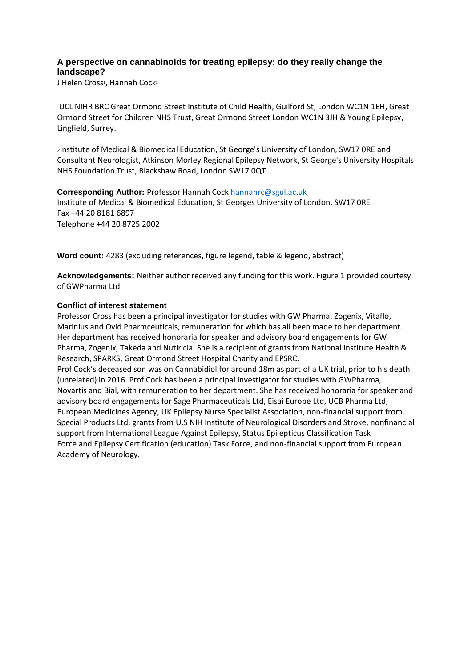# **A perspective on cannabinoids for treating epilepsy: do they really change the landscape?**

J Helen Cross<sup>1</sup>, Hannah Cock<sup>2</sup>

<sup>1</sup>UCL NIHR BRC Great Ormond Street Institute of Child Health, Guilford St, London WC1N 1EH, Great Ormond Street for Children NHS Trust, Great Ormond Street London WC1N 3JH & Young Epilepsy, Lingfield, Surrey.

<sup>2</sup>Institute of Medical & Biomedical Education, St George's University of London, SW17 0RE and Consultant Neurologist, Atkinson Morley Regional Epilepsy Network, St George's University Hospitals NHS Foundation Trust, Blackshaw Road, London SW17 0QT

**Corresponding Author:** Professor Hannah Cock hannahrc@sgul.ac.uk Institute of Medical & Biomedical Education, St Georges University of London, SW17 0RE Fax +44 20 8181 6897 Telephone +44 20 8725 2002

**Word count:** 4283 (excluding references, figure legend, table & legend, abstract)

**Acknowledgements:** Neither author received any funding for this work. Figure 1 provided courtesy of GWPharma Ltd

#### **Conflict of interest statement**

Professor Cross has been a principal investigator for studies with GW Pharma, Zogenix, Vitaflo, Marinius and Ovid Pharmceuticals, remuneration for which has all been made to her department. Her department has received honoraria for speaker and advisory board engagements for GW Pharma, Zogenix, Takeda and Nutiricia. She is a recipient of grants from National Institute Health & Research, SPARKS, Great Ormond Street Hospital Charity and EPSRC.

Prof Cock's deceased son was on Cannabidiol for around 18m as part of a UK trial, prior to his death (unrelated) in 2016. Prof Cock has been a principal investigator for studies with GWPharma, Novartis and Bial, with remuneration to her department. She has received honoraria for speaker and advisory board engagements for Sage Pharmaceuticals Ltd, Eisai Europe Ltd, UCB Pharma Ltd, European Medicines Agency, UK Epilepsy Nurse Specialist Association, non-financial support from Special Products Ltd, grants from U.S NIH Institute of Neurological Disorders and Stroke, nonfinancial support from International League Against Epilepsy, Status Epilepticus Classification Task Force and Epilepsy Certification (education) Task Force, and non-financial support from European Academy of Neurology.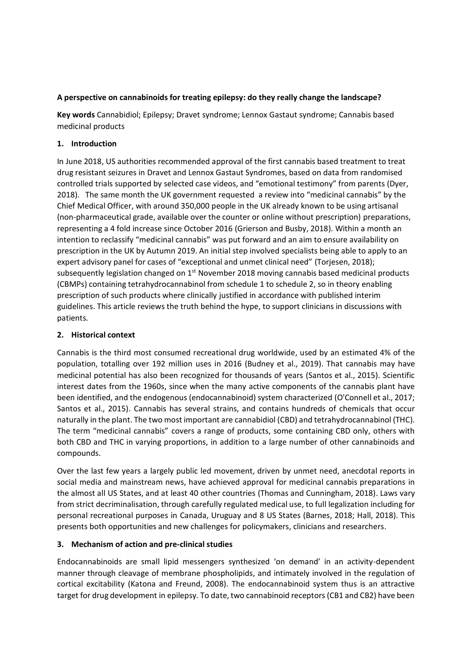## **A perspective on cannabinoids for treating epilepsy: do they really change the landscape?**

**Key words** Cannabidiol; Epilepsy; Dravet syndrome; Lennox Gastaut syndrome; Cannabis based medicinal products

### **1. Introduction**

In June 2018, US authorities recommended approval of the first cannabis based treatment to treat drug resistant seizures in Dravet and Lennox Gastaut Syndromes, based on data from randomised controlled trials supported by selected case videos, and "emotional testimony" from parents (Dyer, 2018). The same month the UK government requested a review into "medicinal cannabis" by the Chief Medical Officer, with around 350,000 people in the UK already known to be using artisanal (non-pharmaceutical grade, available over the counter or online without prescription) preparations, representing a 4 fold increase since October 2016 (Grierson and Busby, 2018). Within a month an intention to reclassify "medicinal cannabis" was put forward and an aim to ensure availability on prescription in the UK by Autumn 2019. An initial step involved specialists being able to apply to an expert advisory panel for cases of "exceptional and unmet clinical need" (Torjesen, 2018); subsequently legislation changed on  $1<sup>st</sup>$  November 2018 moving cannabis based medicinal products (CBMPs) containing tetrahydrocannabinol from schedule 1 to schedule 2, so in theory enabling prescription of such products where clinically justified in accordance with published interim guidelines. This article reviews the truth behind the hype, to support clinicians in discussions with patients.

### **2. Historical context**

Cannabis is the third most consumed recreational drug worldwide, used by an estimated 4% of the population, totalling over 192 million uses in 2016 (Budney et al., 2019). That cannabis may have medicinal potential has also been recognized for thousands of years (Santos et al., 2015). Scientific interest dates from the 1960s, since when the many active components of the cannabis plant have been identified, and the endogenous (endocannabinoid) system characterized (O'Connell et al., 2017; Santos et al., 2015). Cannabis has several strains, and contains hundreds of chemicals that occur naturally in the plant. The two most important are cannabidiol (CBD) and tetrahydrocannabinol (THC). The term "medicinal cannabis" covers a range of products, some containing CBD only, others with both CBD and THC in varying proportions, in addition to a large number of other cannabinoids and compounds.

Over the last few years a largely public led movement, driven by unmet need, anecdotal reports in social media and mainstream news, have achieved approval for medicinal cannabis preparations in the almost all US States, and at least 40 other countries (Thomas and Cunningham, 2018). Laws vary from strict decriminalisation, through carefully regulated medical use, to full legalization including for personal recreational purposes in Canada, Uruguay and 8 US States (Barnes, 2018; Hall, 2018). This presents both opportunities and new challenges for policymakers, clinicians and researchers.

## **3. Mechanism of action and pre-clinical studies**

Endocannabinoids are small lipid messengers synthesized 'on demand' in an activity-dependent manner through cleavage of membrane phospholipids, and intimately involved in the regulation of cortical excitability (Katona and Freund, 2008). The endocannabinoid system thus is an attractive target for drug development in epilepsy. To date, two cannabinoid receptors (CB1 and CB2) have been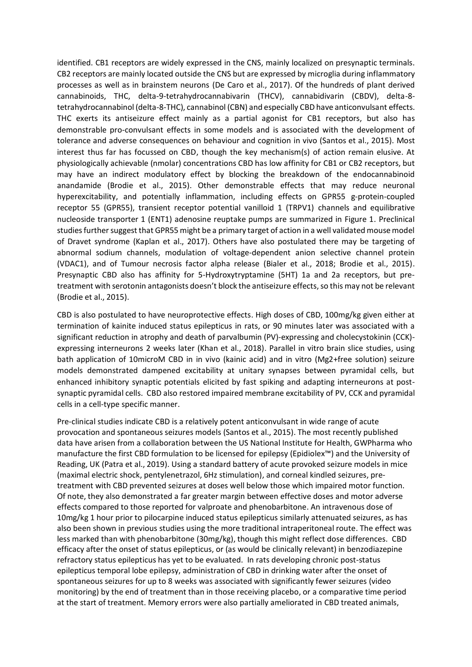identified. CB1 receptors are widely expressed in the CNS, mainly localized on presynaptic terminals. CB2 receptors are mainly located outside the CNS but are expressed by microglia during inflammatory processes as well as in brainstem neurons (De Caro et al., 2017). Of the hundreds of plant derived cannabinoids, THC, delta-9-tetrahydrocannabivarin (THCV), cannabidivarin (CBDV), delta-8 tetrahydrocannabinol (delta-8-THC), cannabinol (CBN) and especially CBD have anticonvulsant effects. THC exerts its antiseizure effect mainly as a partial agonist for CB1 receptors, but also has demonstrable pro-convulsant effects in some models and is associated with the development of tolerance and adverse consequences on behaviour and cognition in vivo (Santos et al., 2015). Most interest thus far has focussed on CBD, though the key mechanism(s) of action remain elusive. At physiologically achievable (nmolar) concentrations CBD has low affinity for CB1 or CB2 receptors, but may have an indirect modulatory effect by blocking the breakdown of the endocannabinoid anandamide (Brodie et al., 2015). Other demonstrable effects that may reduce neuronal hyperexcitability, and potentially inflammation, including effects on GPR55 g-protein-coupled receptor 55 (GPR55), transient receptor potential vanilloid 1 (TRPV1) channels and equilibrative nucleoside transporter 1 (ENT1) adenosine reuptake pumps are summarized in Figure 1. Preclinical studies further suggest that GPR55 might be a primary target of action in a well validated mouse model of Dravet syndrome (Kaplan et al., 2017). Others have also postulated there may be targeting of abnormal sodium channels, modulation of voltage-dependent anion selective channel protein (VDAC1), and of Tumour necrosis factor alpha release (Bialer et al., 2018; Brodie et al., 2015). Presynaptic CBD also has affinity for 5-Hydroxytryptamine (5HT) 1a and 2a receptors, but pretreatment with serotonin antagonists doesn't block the antiseizure effects, so this may not be relevant (Brodie et al., 2015).

CBD is also postulated to have neuroprotective effects. High doses of CBD, 100mg/kg given either at termination of kainite induced status epilepticus in rats, or 90 minutes later was associated with a significant reduction in atrophy and death of parvalbumin (PV)-expressing and cholecystokinin (CCK) expressing interneurons 2 weeks later (Khan et al., 2018). Parallel in vitro brain slice studies, using bath application of 10microM CBD in in vivo (kainic acid) and in vitro (Mg2+free solution) seizure models demonstrated dampened excitability at unitary synapses between pyramidal cells, but enhanced inhibitory synaptic potentials elicited by fast spiking and adapting interneurons at postsynaptic pyramidal cells. CBD also restored impaired membrane excitability of PV, CCK and pyramidal cells in a cell-type specific manner.

Pre-clinical studies indicate CBD is a relatively potent anticonvulsant in wide range of acute provocation and spontaneous seizures models (Santos et al., 2015). The most recently published data have arisen from a collaboration between the US National Institute for Health, GWPharma who manufacture the first CBD formulation to be licensed for epilepsy (Epidiolex™) and the University of Reading, UK (Patra et al., 2019). Using a standard battery of acute provoked seizure models in mice (maximal electric shock, pentylenetrazol, 6Hz stimulation), and corneal kindled seizures, pretreatment with CBD prevented seizures at doses well below those which impaired motor function. Of note, they also demonstrated a far greater margin between effective doses and motor adverse effects compared to those reported for valproate and phenobarbitone. An intravenous dose of 10mg/kg 1 hour prior to pilocarpine induced status epilepticus similarly attenuated seizures, as has also been shown in previous studies using the more traditional intraperitoneal route. The effect was less marked than with phenobarbitone (30mg/kg), though this might reflect dose differences. CBD efficacy after the onset of status epilepticus, or (as would be clinically relevant) in benzodiazepine refractory status epilepticus has yet to be evaluated. In rats developing chronic post-status epilepticus temporal lobe epilepsy, administration of CBD in drinking water after the onset of spontaneous seizures for up to 8 weeks was associated with significantly fewer seizures (video monitoring) by the end of treatment than in those receiving placebo, or a comparative time period at the start of treatment. Memory errors were also partially ameliorated in CBD treated animals,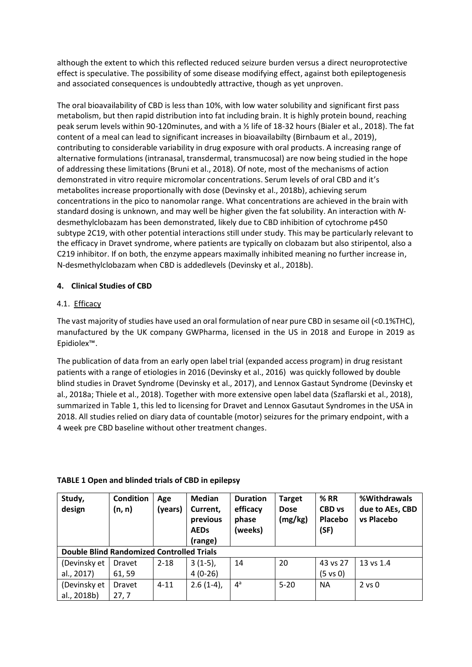although the extent to which this reflected reduced seizure burden versus a direct neuroprotective effect is speculative. The possibility of some disease modifying effect, against both epileptogenesis and associated consequences is undoubtedly attractive, though as yet unproven.

The oral bioavailability of CBD is less than 10%, with low water solubility and significant first pass metabolism, but then rapid distribution into fat including brain. It is highly protein bound, reaching peak serum levels within 90-120minutes, and with a ½ life of 18-32 hours (Bialer et al., 2018). The fat content of a meal can lead to significant increases in bioavailabilty (Birnbaum et al., 2019), contributing to considerable variability in drug exposure with oral products. A increasing range of alternative formulations (intranasal, transdermal, transmucosal) are now being studied in the hope of addressing these limitations (Bruni et al., 2018). Of note, most of the mechanisms of action demonstrated in vitro require micromolar concentrations. Serum levels of oral CBD and it's metabolites increase proportionally with dose (Devinsky et al., 2018b), achieving serum concentrations in the pico to nanomolar range. What concentrations are achieved in the brain with standard dosing is unknown, and may well be higher given the fat solubility. An interaction with *N*desmethylclobazam has been demonstrated, likely due to CBD inhibition of cytochrome p450 subtype 2C19, with other potential interactions still under study. This may be particularly relevant to the efficacy in Dravet syndrome, where patients are typically on clobazam but also stiripentol, also a C219 inhibitor. If on both, the enzyme appears maximally inhibited meaning no further increase in, N-desmethylclobazam when CBD is addedlevels (Devinsky et al., 2018b).

# **4. Clinical Studies of CBD**

## 4.1. Efficacy

The vast majority of studies have used an oral formulation of near pure CBD in sesame oil (<0.1%THC), manufactured by the UK company GWPharma, licensed in the US in 2018 and Europe in 2019 as Epidiolex™.

The publication of data from an early open label trial (expanded access program) in drug resistant patients with a range of etiologies in 2016 (Devinsky et al., 2016) was quickly followed by double blind studies in Dravet Syndrome (Devinsky et al., 2017), and Lennox Gastaut Syndrome (Devinsky et al., 2018a; Thiele et al., 2018). Together with more extensive open label data (Szaflarski et al., 2018), summarized in Table 1, this led to licensing for Dravet and Lennox Gasutaut Syndromes in the USA in 2018. All studies relied on diary data of countable (motor) seizures for the primary endpoint, with a 4 week pre CBD baseline without other treatment changes.

| Study,<br>design                                 | <b>Condition</b><br>(n, n) | Age<br>(years) | <b>Median</b><br>Current,<br>previous<br><b>AEDs</b><br>(range) | <b>Duration</b><br>efficacy<br>phase<br>(weeks) | <b>Target</b><br><b>Dose</b><br>(mg/kg) | %RR<br><b>CBD</b> vs<br>Placebo<br>(SF) | %Withdrawals<br>due to AEs, CBD<br>vs Placebo |  |  |  |
|--------------------------------------------------|----------------------------|----------------|-----------------------------------------------------------------|-------------------------------------------------|-----------------------------------------|-----------------------------------------|-----------------------------------------------|--|--|--|
| <b>Double Blind Randomized Controlled Trials</b> |                            |                |                                                                 |                                                 |                                         |                                         |                                               |  |  |  |
| (Devinsky et                                     | Dravet                     | $2 - 18$       | $3(1-5)$ ,                                                      | 14                                              | 20                                      | 43 vs 27                                | 13 vs 1.4                                     |  |  |  |
| al., 2017)                                       | 61, 59                     |                | $4(0-26)$                                                       |                                                 |                                         | $(5 \text{ vs } 0)$                     |                                               |  |  |  |
| (Devinsky et                                     | <b>Dravet</b>              | $4 - 11$       | $2.6(1-4)$ ,                                                    | $4^a$                                           | $5 - 20$                                | <b>NA</b>                               | $2$ vs $0$                                    |  |  |  |
| al., 2018b)                                      | 27,7                       |                |                                                                 |                                                 |                                         |                                         |                                               |  |  |  |

#### **TABLE 1 Open and blinded trials of CBD in epilepsy**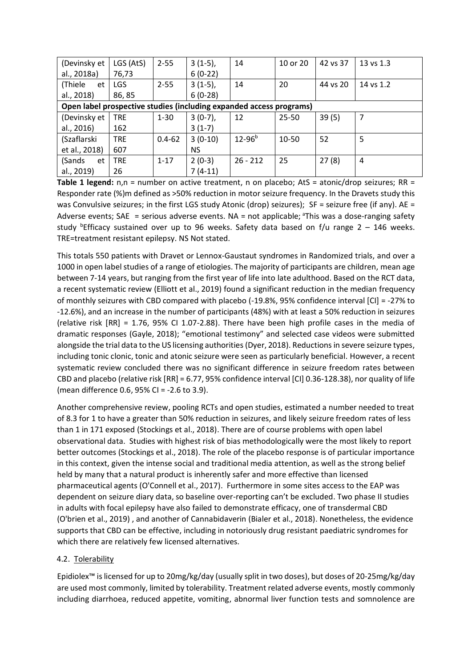| (Devinsky et                                                        | LGS (AtS)  | $2 - 55$   | $3(1-5)$ , | 14            | 10 or 20 | 42 vs 37 | 13 vs 1.3 |  |  |
|---------------------------------------------------------------------|------------|------------|------------|---------------|----------|----------|-----------|--|--|
| al., 2018a)                                                         | 76,73      |            | $6(0-22)$  |               |          |          |           |  |  |
| (Thiele<br>et                                                       | <b>LGS</b> | $2 - 55$   | $3(1-5)$ , | 14            | 20       | 44 vs 20 | 14 vs 1.2 |  |  |
| al., 2018)                                                          | 86,85      |            | $6(0-28)$  |               |          |          |           |  |  |
| Open label prospective studies (including expanded access programs) |            |            |            |               |          |          |           |  |  |
| (Devinsky et                                                        | <b>TRE</b> | $1 - 30$   | $3(0-7)$ , | 12            | 25-50    | 39(5)    | 7         |  |  |
| al., 2016)                                                          | 162        |            | $3(1-7)$   |               |          |          |           |  |  |
| (Szaflarski                                                         | <b>TRE</b> | $0.4 - 62$ | $3(0-10)$  | $12 - 96^{b}$ | 10-50    | 52       | 5         |  |  |
| et al., 2018)                                                       | 607        |            | <b>NS</b>  |               |          |          |           |  |  |
| (Sands<br>et                                                        | <b>TRE</b> | $1 - 17$   | $2(0-3)$   | $26 - 212$    | 25       | 27(8)    | 4         |  |  |
| al., 2019)                                                          | 26         |            | $7(4-11)$  |               |          |          |           |  |  |

**Table 1 legend:** n,n = number on active treatment, n on placebo; AtS = atonic/drop seizures; RR = Responder rate (%)m defined as >50% reduction in motor seizure frequency. In the Dravets study this was Convulsive seizures; in the first LGS study Atonic (drop) seizures); SF = seizure free (if any). AE = Adverse events; SAE = serious adverse events. NA = not applicable;  $\text{a}^*$ This was a dose-ranging safety study <sup>b</sup>Efficacy sustained over up to 96 weeks. Safety data based on f/u range  $2 - 146$  weeks. TRE=treatment resistant epilepsy. NS Not stated.

This totals 550 patients with Dravet or Lennox-Gaustaut syndromes in Randomized trials, and over a 1000 in open label studies of a range of etiologies. The majority of participants are children, mean age between 7-14 years, but ranging from the first year of life into late adulthood. Based on the RCT data, a recent systematic review (Elliott et al., 2019) found a significant reduction in the median frequency of monthly seizures with CBD compared with placebo (-19.8%, 95% confidence interval [CI] = -27% to -12.6%), and an increase in the number of participants (48%) with at least a 50% reduction in seizures (relative risk [RR] = 1.76, 95% CI 1.07-2.88). There have been high profile cases in the media of dramatic responses (Gayle, 2018); "emotional testimony" and selected case videos were submitted alongside the trial data to the US licensing authorities (Dyer, 2018). Reductions in severe seizure types, including tonic clonic, tonic and atonic seizure were seen as particularly beneficial. However, a recent systematic review concluded there was no significant difference in seizure freedom rates between CBD and placebo (relative risk [RR] = 6.77, 95% confidence interval [CI] 0.36-128.38), nor quality of life (mean difference 0.6, 95% CI = -2.6 to 3.9).

Another comprehensive review, pooling RCTs and open studies, estimated a number needed to treat of 8.3 for 1 to have a greater than 50% reduction in seizures, and likely seizure freedom rates of less than 1 in 171 exposed (Stockings et al., 2018). There are of course problems with open label observational data. Studies with highest risk of bias methodologically were the most likely to report better outcomes (Stockings et al., 2018). The role of the placebo response is of particular importance in this context, given the intense social and traditional media attention, as well as the strong belief held by many that a natural product is inherently safer and more effective than licensed pharmaceutical agents (O'Connell et al., 2017). Furthermore in some sites access to the EAP was dependent on seizure diary data, so baseline over-reporting can't be excluded. Two phase II studies in adults with focal epilepsy have also failed to demonstrate efficacy, one of transdermal CBD (O'brien et al., 2019) , and another of Cannabidaverin (Bialer et al., 2018). Nonetheless, the evidence supports that CBD can be effective, including in notoriously drug resistant paediatric syndromes for which there are relatively few licensed alternatives.

## 4.2. Tolerability

Epidiolex™ is licensed for up to 20mg/kg/day (usually split in two doses), but doses of 20-25mg/kg/day are used most commonly, limited by tolerability. Treatment related adverse events, mostly commonly including diarrhoea, reduced appetite, vomiting, abnormal liver function tests and somnolence are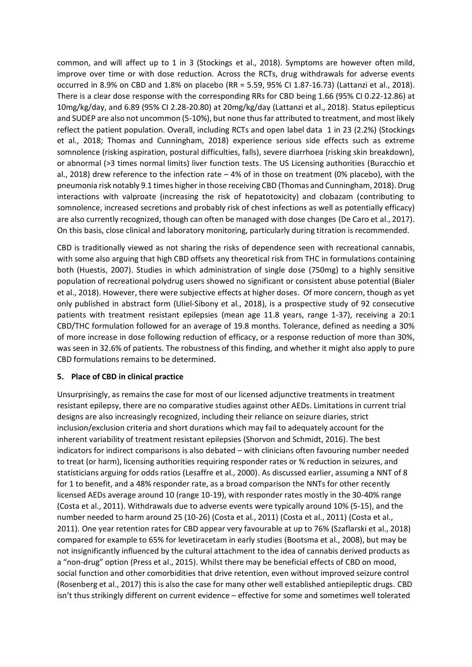common, and will affect up to 1 in 3 (Stockings et al., 2018). Symptoms are however often mild, improve over time or with dose reduction. Across the RCTs, drug withdrawals for adverse events occurred in 8.9% on CBD and 1.8% on placebo (RR = 5.59, 95% CI 1.87-16.73) (Lattanzi et al., 2018). There is a clear dose response with the corresponding RRs for CBD being 1.66 (95% CI 0.22-12.86) at 10mg/kg/day, and 6.89 (95% CI 2.28-20.80) at 20mg/kg/day (Lattanzi et al., 2018). Status epilepticus and SUDEP are also not uncommon (5-10%), but none thus far attributed to treatment, and most likely reflect the patient population. Overall, including RCTs and open label data 1 in 23 (2.2%) (Stockings et al., 2018; Thomas and Cunningham, 2018) experience serious side effects such as extreme somnolence (risking aspiration, postural difficulties, falls), severe diarrhoea (risking skin breakdown), or abnormal (>3 times normal limits) liver function tests. The US Licensing authorities (Buracchio et al., 2018) drew reference to the infection rate – 4% of in those on treatment (0% placebo), with the pneumonia risk notably 9.1 times higher in those receiving CBD (Thomas and Cunningham, 2018). Drug interactions with valproate (increasing the risk of hepatotoxicity) and clobazam (contributing to somnolence, increased secretions and probably risk of chest infections as well as potentially efficacy) are also currently recognized, though can often be managed with dose changes (De Caro et al., 2017). On this basis, close clinical and laboratory monitoring, particularly during titration is recommended.

CBD is traditionally viewed as not sharing the risks of dependence seen with recreational cannabis, with some also arguing that high CBD offsets any theoretical risk from THC in formulations containing both (Huestis, 2007). Studies in which administration of single dose (750mg) to a highly sensitive population of recreational polydrug users showed no significant or consistent abuse potential (Bialer et al., 2018). However, there were subjective effects at higher doses. Of more concern, though as yet only published in abstract form (Uliel-Sibony et al., 2018), is a prospective study of 92 consecutive patients with treatment resistant epilepsies (mean age 11.8 years, range 1-37), receiving a 20:1 CBD/THC formulation followed for an average of 19.8 months. Tolerance, defined as needing a 30% of more increase in dose following reduction of efficacy, or a response reduction of more than 30%, was seen in 32.6% of patients. The robustness of this finding, and whether it might also apply to pure CBD formulations remains to be determined.

## **5. Place of CBD in clinical practice**

Unsurprisingly, as remains the case for most of our licensed adjunctive treatments in treatment resistant epilepsy, there are no comparative studies against other AEDs. Limitations in current trial designs are also increasingly recognized, including their reliance on seizure diaries, strict inclusion/exclusion criteria and short durations which may fail to adequately account for the inherent variability of treatment resistant epilepsies (Shorvon and Schmidt, 2016). The best indicators for indirect comparisons is also debated – with clinicians often favouring number needed to treat (or harm), licensing authorities requiring responder rates or % reduction in seizures, and statisticians arguing for odds ratios (Lesaffre et al., 2000). As discussed earlier, assuming a NNT of 8 for 1 to benefit, and a 48% responder rate, as a broad comparison the NNTs for other recently licensed AEDs average around 10 (range 10-19), with responder rates mostly in the 30-40% range (Costa et al., 2011). Withdrawals due to adverse events were typically around 10% (5-15), and the number needed to harm around 25 (10-26) (Costa et al., 2011) (Costa et al., 2011) (Costa et al., 2011). One year retention rates for CBD appear very favourable at up to 76% (Szaflarski et al., 2018) compared for example to 65% for levetiracetam in early studies (Bootsma et al., 2008), but may be not insignificantly influenced by the cultural attachment to the idea of cannabis derived products as a "non-drug" option (Press et al., 2015). Whilst there may be beneficial effects of CBD on mood, social function and other comorbidities that drive retention, even without improved seizure control (Rosenberg et al., 2017) this is also the case for many other well established antiepileptic drugs. CBD isn't thus strikingly different on current evidence – effective for some and sometimes well tolerated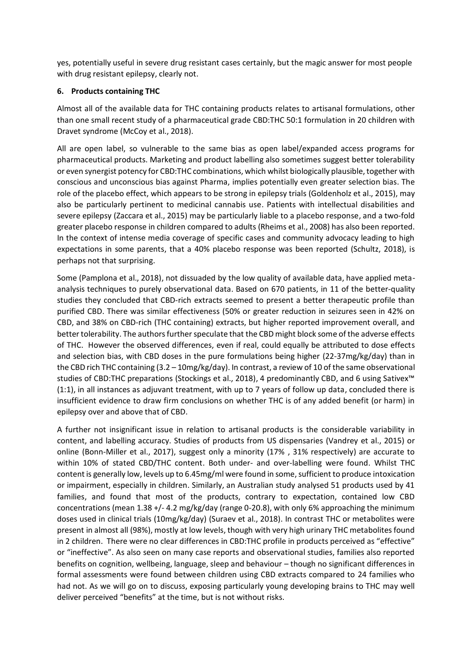yes, potentially useful in severe drug resistant cases certainly, but the magic answer for most people with drug resistant epilepsy, clearly not.

### **6. Products containing THC**

Almost all of the available data for THC containing products relates to artisanal formulations, other than one small recent study of a pharmaceutical grade CBD:THC 50:1 formulation in 20 children with Dravet syndrome (McCoy et al., 2018).

All are open label, so vulnerable to the same bias as open label/expanded access programs for pharmaceutical products. Marketing and product labelling also sometimes suggest better tolerability or even synergist potency for CBD:THC combinations, which whilst biologically plausible, together with conscious and unconscious bias against Pharma, implies potentially even greater selection bias. The role of the placebo effect, which appears to be strong in epilepsy trials (Goldenholz et al., 2015), may also be particularly pertinent to medicinal cannabis use. Patients with intellectual disabilities and severe epilepsy (Zaccara et al., 2015) may be particularly liable to a placebo response, and a two-fold greater placebo response in children compared to adults (Rheims et al., 2008) has also been reported. In the context of intense media coverage of specific cases and community advocacy leading to high expectations in some parents, that a 40% placebo response was been reported (Schultz, 2018), is perhaps not that surprising.

Some (Pamplona et al., 2018), not dissuaded by the low quality of available data, have applied metaanalysis techniques to purely observational data. Based on 670 patients, in 11 of the better-quality studies they concluded that CBD-rich extracts seemed to present a better therapeutic profile than purified CBD. There was similar effectiveness (50% or greater reduction in seizures seen in 42% on CBD, and 38% on CBD-rich (THC containing) extracts, but higher reported improvement overall, and better tolerability. The authors further speculate that the CBD might block some of the adverse effects of THC. However the observed differences, even if real, could equally be attributed to dose effects and selection bias, with CBD doses in the pure formulations being higher (22-37mg/kg/day) than in the CBD rich THC containing (3.2 – 10mg/kg/day). In contrast, a review of 10 of the same observational studies of CBD:THC preparations (Stockings et al., 2018), 4 predominantly CBD, and 6 using Sativex™ (1:1), in all instances as adjuvant treatment, with up to 7 years of follow up data, concluded there is insufficient evidence to draw firm conclusions on whether THC is of any added benefit (or harm) in epilepsy over and above that of CBD.

A further not insignificant issue in relation to artisanal products is the considerable variability in content, and labelling accuracy. Studies of products from US dispensaries (Vandrey et al., 2015) or online (Bonn-Miller et al., 2017), suggest only a minority (17% , 31% respectively) are accurate to within 10% of stated CBD/THC content. Both under- and over-labelling were found. Whilst THC content is generally low, levels up to 6.45mg/ml were found in some, sufficient to produce intoxication or impairment, especially in children. Similarly, an Australian study analysed 51 products used by 41 families, and found that most of the products, contrary to expectation, contained low CBD concentrations (mean 1.38 +/- 4.2 mg/kg/day (range 0-20.8), with only 6% approaching the minimum doses used in clinical trials (10mg/kg/day) (Suraev et al., 2018). In contrast THC or metabolites were present in almost all (98%), mostly at low levels, though with very high urinary THC metabolites found in 2 children. There were no clear differences in CBD:THC profile in products perceived as "effective" or "ineffective". As also seen on many case reports and observational studies, families also reported benefits on cognition, wellbeing, language, sleep and behaviour – though no significant differences in formal assessments were found between children using CBD extracts compared to 24 families who had not. As we will go on to discuss, exposing particularly young developing brains to THC may well deliver perceived "benefits" at the time, but is not without risks.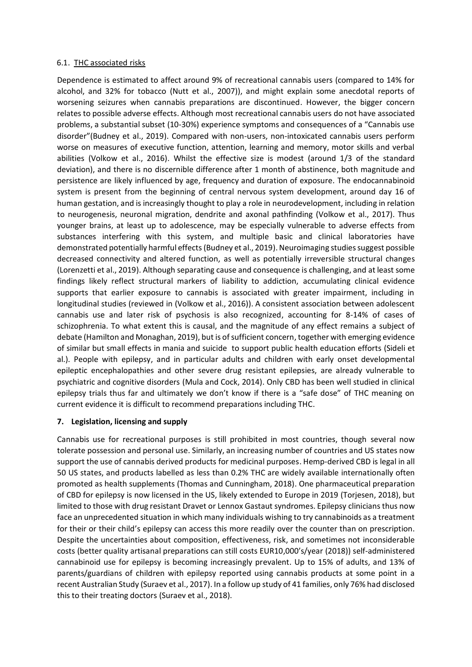#### 6.1. THC associated risks

Dependence is estimated to affect around 9% of recreational cannabis users (compared to 14% for alcohol, and 32% for tobacco (Nutt et al., 2007)), and might explain some anecdotal reports of worsening seizures when cannabis preparations are discontinued. However, the bigger concern relates to possible adverse effects. Although most recreational cannabis users do not have associated problems, a substantial subset (10-30%) experience symptoms and consequences of a "Cannabis use disorder"(Budney et al., 2019). Compared with non-users, non-intoxicated cannabis users perform worse on measures of executive function, attention, learning and memory, motor skills and verbal abilities (Volkow et al., 2016). Whilst the effective size is modest (around 1/3 of the standard deviation), and there is no discernible difference after 1 month of abstinence, both magnitude and persistence are likely influenced by age, frequency and duration of exposure. The endocannabinoid system is present from the beginning of central nervous system development, around day 16 of human gestation, and is increasingly thought to play a role in neurodevelopment, including in relation to neurogenesis, neuronal migration, dendrite and axonal pathfinding (Volkow et al., 2017). Thus younger brains, at least up to adolescence, may be especially vulnerable to adverse effects from substances interfering with this system, and multiple basic and clinical laboratories have demonstrated potentially harmful effects (Budney et al., 2019). Neuroimaging studies suggest possible decreased connectivity and altered function, as well as potentially irreversible structural changes (Lorenzetti et al., 2019). Although separating cause and consequence is challenging, and at least some findings likely reflect structural markers of liability to addiction, accumulating clinical evidence supports that earlier exposure to cannabis is associated with greater impairment, including in longitudinal studies (reviewed in (Volkow et al., 2016)). A consistent association between adolescent cannabis use and later risk of psychosis is also recognized, accounting for 8-14% of cases of schizophrenia. To what extent this is causal, and the magnitude of any effect remains a subject of debate (Hamilton and Monaghan, 2019), but is of sufficient concern, together with emerging evidence of similar but small effects in mania and suicide to support public health education efforts (Sideli et al.). People with epilepsy, and in particular adults and children with early onset developmental epileptic encephalopathies and other severe drug resistant epilepsies, are already vulnerable to psychiatric and cognitive disorders (Mula and Cock, 2014). Only CBD has been well studied in clinical epilepsy trials thus far and ultimately we don't know if there is a "safe dose" of THC meaning on current evidence it is difficult to recommend preparations including THC.

#### **7. Legislation, licensing and supply**

Cannabis use for recreational purposes is still prohibited in most countries, though several now tolerate possession and personal use. Similarly, an increasing number of countries and US states now support the use of cannabis derived products for medicinal purposes. Hemp-derived CBD is legal in all 50 US states, and products labelled as less than 0.2% THC are widely available internationally often promoted as health supplements (Thomas and Cunningham, 2018). One pharmaceutical preparation of CBD for epilepsy is now licensed in the US, likely extended to Europe in 2019 (Torjesen, 2018), but limited to those with drug resistant Dravet or Lennox Gastaut syndromes. Epilepsy clinicians thus now face an unprecedented situation in which many individuals wishing to try cannabinoids as a treatment for their or their child's epilepsy can access this more readily over the counter than on prescription. Despite the uncertainties about composition, effectiveness, risk, and sometimes not inconsiderable costs (better quality artisanal preparations can still costs EUR10,000's/year (2018)) self-administered cannabinoid use for epilepsy is becoming increasingly prevalent. Up to 15% of adults, and 13% of parents/guardians of children with epilepsy reported using cannabis products at some point in a recent Australian Study (Suraev et al., 2017). In a follow up study of 41 families, only 76% had disclosed this to their treating doctors (Suraev et al., 2018).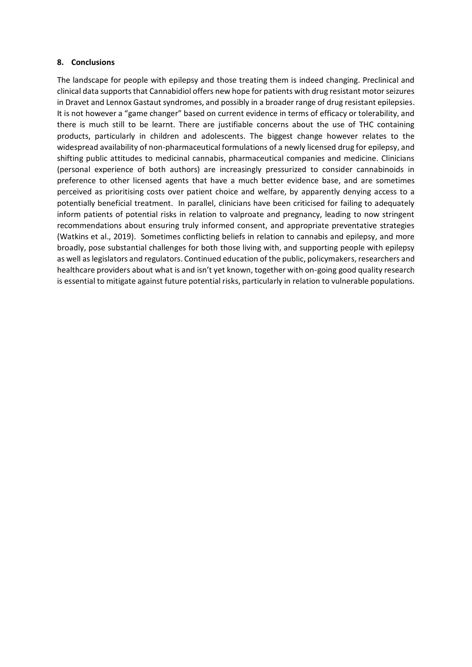#### **8. Conclusions**

The landscape for people with epilepsy and those treating them is indeed changing. Preclinical and clinical data supports that Cannabidiol offers new hope for patients with drug resistant motor seizures in Dravet and Lennox Gastaut syndromes, and possibly in a broader range of drug resistant epilepsies. It is not however a "game changer" based on current evidence in terms of efficacy or tolerability, and there is much still to be learnt. There are justifiable concerns about the use of THC containing products, particularly in children and adolescents. The biggest change however relates to the widespread availability of non-pharmaceutical formulations of a newly licensed drug for epilepsy, and shifting public attitudes to medicinal cannabis, pharmaceutical companies and medicine. Clinicians (personal experience of both authors) are increasingly pressurized to consider cannabinoids in preference to other licensed agents that have a much better evidence base, and are sometimes perceived as prioritising costs over patient choice and welfare, by apparently denying access to a potentially beneficial treatment. In parallel, clinicians have been criticised for failing to adequately inform patients of potential risks in relation to valproate and pregnancy, leading to now stringent recommendations about ensuring truly informed consent, and appropriate preventative strategies (Watkins et al., 2019). Sometimes conflicting beliefs in relation to cannabis and epilepsy, and more broadly, pose substantial challenges for both those living with, and supporting people with epilepsy as well as legislators and regulators. Continued education of the public, policymakers, researchers and healthcare providers about what is and isn't yet known, together with on-going good quality research is essential to mitigate against future potential risks, particularly in relation to vulnerable populations.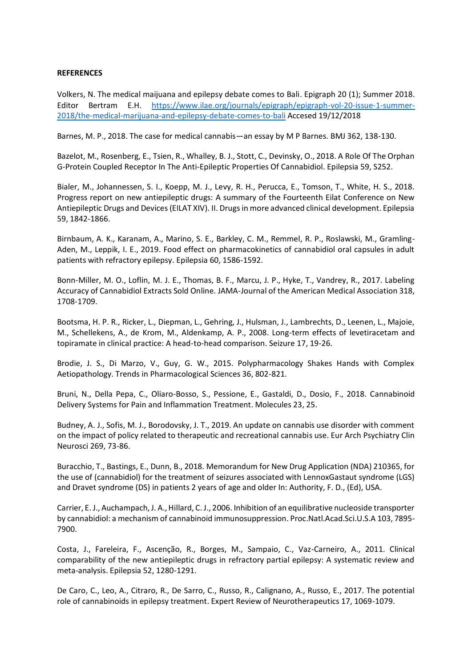#### **REFERENCES**

Volkers, N. The medical maijuana and epilepsy debate comes to Bali. Epigraph 20 (1); Summer 2018. Editor Bertram E.H. [https://www.ilae.org/journals/epigraph/epigraph-vol-20-issue-1-summer-](https://www.ilae.org/journals/epigraph/epigraph-vol-20-issue-1-summer-2018/the-medical-marijuana-and-epilepsy-debate-comes-to-bali)[2018/the-medical-marijuana-and-epilepsy-debate-comes-to-bali](https://www.ilae.org/journals/epigraph/epigraph-vol-20-issue-1-summer-2018/the-medical-marijuana-and-epilepsy-debate-comes-to-bali) Accesed 19/12/2018

Barnes, M. P., 2018. The case for medical cannabis—an essay by M P Barnes. BMJ 362, 138-130.

Bazelot, M., Rosenberg, E., Tsien, R., Whalley, B. J., Stott, C., Devinsky, O., 2018. A Role Of The Orphan G‐Protein Coupled Receptor In The Anti‐Epileptic Properties Of Cannabidiol. Epilepsia 59, S252.

Bialer, M., Johannessen, S. I., Koepp, M. J., Levy, R. H., Perucca, E., Tomson, T., White, H. S., 2018. Progress report on new antiepileptic drugs: A summary of the Fourteenth Eilat Conference on New Antiepileptic Drugs and Devices (EILAT XIV). II. Drugs in more advanced clinical development. Epilepsia 59, 1842-1866.

Birnbaum, A. K., Karanam, A., Marino, S. E., Barkley, C. M., Remmel, R. P., Roslawski, M., Gramling-Aden, M., Leppik, I. E., 2019. Food effect on pharmacokinetics of cannabidiol oral capsules in adult patients with refractory epilepsy. Epilepsia 60, 1586-1592.

Bonn-Miller, M. O., Loflin, M. J. E., Thomas, B. F., Marcu, J. P., Hyke, T., Vandrey, R., 2017. Labeling Accuracy of Cannabidiol Extracts Sold Online. JAMA-Journal of the American Medical Association 318, 1708-1709.

Bootsma, H. P. R., Ricker, L., Diepman, L., Gehring, J., Hulsman, J., Lambrechts, D., Leenen, L., Majoie, M., Schellekens, A., de Krom, M., Aldenkamp, A. P., 2008. Long-term effects of levetiracetam and topiramate in clinical practice: A head-to-head comparison. Seizure 17, 19-26.

Brodie, J. S., Di Marzo, V., Guy, G. W., 2015. Polypharmacology Shakes Hands with Complex Aetiopathology. Trends in Pharmacological Sciences 36, 802-821.

Bruni, N., Della Pepa, C., Oliaro-Bosso, S., Pessione, E., Gastaldi, D., Dosio, F., 2018. Cannabinoid Delivery Systems for Pain and Inflammation Treatment. Molecules 23, 25.

Budney, A. J., Sofis, M. J., Borodovsky, J. T., 2019. An update on cannabis use disorder with comment on the impact of policy related to therapeutic and recreational cannabis use. Eur Arch Psychiatry Clin Neurosci 269, 73-86.

Buracchio, T., Bastings, E., Dunn, B., 2018. Memorandum for New Drug Application (NDA) 210365, for the use of (cannabidiol) for the treatment of seizures associated with LennoxGastaut syndrome (LGS) and Dravet syndrome (DS) in patients 2 years of age and older In: Authority, F. D., (Ed), USA.

Carrier, E. J., Auchampach, J. A., Hillard, C. J., 2006. Inhibition of an equilibrative nucleoside transporter by cannabidiol: a mechanism of cannabinoid immunosuppression. Proc.Natl.Acad.Sci.U.S.A 103, 7895- 7900.

Costa, J., Fareleira, F., Ascenção, R., Borges, M., Sampaio, C., Vaz-Carneiro, A., 2011. Clinical comparability of the new antiepileptic drugs in refractory partial epilepsy: A systematic review and meta-analysis. Epilepsia 52, 1280-1291.

De Caro, C., Leo, A., Citraro, R., De Sarro, C., Russo, R., Calignano, A., Russo, E., 2017. The potential role of cannabinoids in epilepsy treatment. Expert Review of Neurotherapeutics 17, 1069-1079.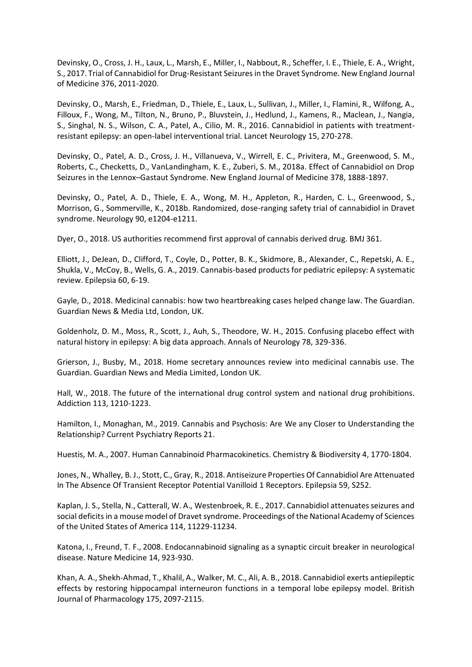Devinsky, O., Cross, J. H., Laux, L., Marsh, E., Miller, I., Nabbout, R., Scheffer, I. E., Thiele, E. A., Wright, S., 2017. Trial of Cannabidiol for Drug-Resistant Seizures in the Dravet Syndrome. New England Journal of Medicine 376, 2011-2020.

Devinsky, O., Marsh, E., Friedman, D., Thiele, E., Laux, L., Sullivan, J., Miller, I., Flamini, R., Wilfong, A., Filloux, F., Wong, M., Tilton, N., Bruno, P., Bluvstein, J., Hedlund, J., Kamens, R., Maclean, J., Nangia, S., Singhal, N. S., Wilson, C. A., Patel, A., Cilio, M. R., 2016. Cannabidiol in patients with treatmentresistant epilepsy: an open-label interventional trial. Lancet Neurology 15, 270-278.

Devinsky, O., Patel, A. D., Cross, J. H., Villanueva, V., Wirrell, E. C., Privitera, M., Greenwood, S. M., Roberts, C., Checketts, D., VanLandingham, K. E., Zuberi, S. M., 2018a. Effect of Cannabidiol on Drop Seizures in the Lennox–Gastaut Syndrome. New England Journal of Medicine 378, 1888-1897.

Devinsky, O., Patel, A. D., Thiele, E. A., Wong, M. H., Appleton, R., Harden, C. L., Greenwood, S., Morrison, G., Sommerville, K., 2018b. Randomized, dose-ranging safety trial of cannabidiol in Dravet syndrome. Neurology 90, e1204-e1211.

Dyer, O., 2018. US authorities recommend first approval of cannabis derived drug. BMJ 361.

Elliott, J., DeJean, D., Clifford, T., Coyle, D., Potter, B. K., Skidmore, B., Alexander, C., Repetski, A. E., Shukla, V., McCoy, B., Wells, G. A., 2019. Cannabis-based products for pediatric epilepsy: A systematic review. Epilepsia 60, 6-19.

Gayle, D., 2018. Medicinal cannabis: how two heartbreaking cases helped change law. The Guardian. Guardian News & Media Ltd, London, UK.

Goldenholz, D. M., Moss, R., Scott, J., Auh, S., Theodore, W. H., 2015. Confusing placebo effect with natural history in epilepsy: A big data approach. Annals of Neurology 78, 329-336.

Grierson, J., Busby, M., 2018. Home secretary announces review into medicinal cannabis use. The Guardian. Guardian News and Media Limited, London UK.

Hall, W., 2018. The future of the international drug control system and national drug prohibitions. Addiction 113, 1210-1223.

Hamilton, I., Monaghan, M., 2019. Cannabis and Psychosis: Are We any Closer to Understanding the Relationship? Current Psychiatry Reports 21.

Huestis, M. A., 2007. Human Cannabinoid Pharmacokinetics. Chemistry & Biodiversity 4, 1770-1804.

Jones, N., Whalley, B. J., Stott, C., Gray, R., 2018. Antiseizure Properties Of Cannabidiol Are Attenuated In The Absence Of Transient Receptor Potential Vanilloid 1 Receptors. Epilepsia 59, S252.

Kaplan, J. S., Stella, N., Catterall, W. A., Westenbroek, R. E., 2017. Cannabidiol attenuates seizures and social deficits in a mouse model of Dravet syndrome. Proceedings of the National Academy of Sciences of the United States of America 114, 11229-11234.

Katona, I., Freund, T. F., 2008. Endocannabinoid signaling as a synaptic circuit breaker in neurological disease. Nature Medicine 14, 923-930.

Khan, A. A., Shekh-Ahmad, T., Khalil, A., Walker, M. C., Ali, A. B., 2018. Cannabidiol exerts antiepileptic effects by restoring hippocampal interneuron functions in a temporal lobe epilepsy model. British Journal of Pharmacology 175, 2097-2115.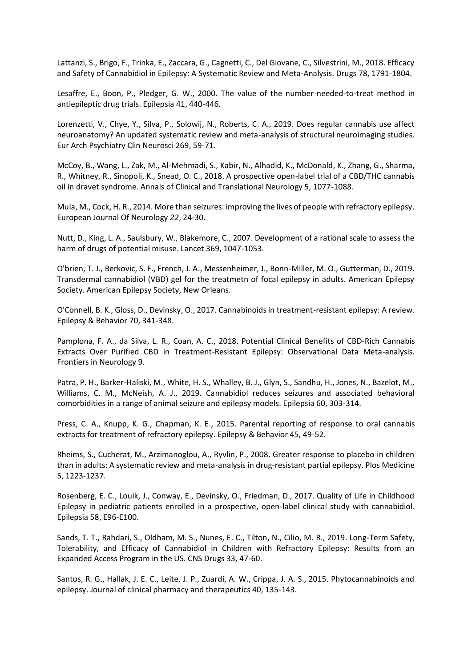Lattanzi, S., Brigo, F., Trinka, E., Zaccara, G., Cagnetti, C., Del Giovane, C., Silvestrini, M., 2018. Efficacy and Safety of Cannabidiol in Epilepsy: A Systematic Review and Meta-Analysis. Drugs 78, 1791-1804.

Lesaffre, E., Boon, P., Pledger, G. W., 2000. The value of the number-needed-to-treat method in antiepileptic drug trials. Epilepsia 41, 440-446.

Lorenzetti, V., Chye, Y., Silva, P., Solowij, N., Roberts, C. A., 2019. Does regular cannabis use affect neuroanatomy? An updated systematic review and meta-analysis of structural neuroimaging studies. Eur Arch Psychiatry Clin Neurosci 269, 59-71.

McCoy, B., Wang, L., Zak, M., Al-Mehmadi, S., Kabir, N., Alhadid, K., McDonald, K., Zhang, G., Sharma, R., Whitney, R., Sinopoli, K., Snead, O. C., 2018. A prospective open-label trial of a CBD/THC cannabis oil in dravet syndrome. Annals of Clinical and Translational Neurology 5, 1077-1088.

Mula, M., Cock, H. R., 2014. More than seizures: improving the lives of people with refractory epilepsy. European Journal Of Neurology *22*, 24-30.

Nutt, D., King, L. A., Saulsbury, W., Blakemore, C., 2007. Development of a rational scale to assess the harm of drugs of potential misuse. Lancet 369, 1047-1053.

O'brien, T. J., Berkovic, S. F., French, J. A., Messenheimer, J., Bonn-Miller, M. O., Gutterman, D., 2019. Transdermal cannabidiol (VBD) gel for the treatmetn of focal epilepsy in adults. American Epilepsy Society. American Epilepsy Society, New Orleans.

O'Connell, B. K., Gloss, D., Devinsky, O., 2017. Cannabinoids in treatment-resistant epilepsy: A review. Epilepsy & Behavior 70, 341-348.

Pamplona, F. A., da Silva, L. R., Coan, A. C., 2018. Potential Clinical Benefits of CBD-Rich Cannabis Extracts Over Purified CBD in Treatment-Resistant Epilepsy: Observational Data Meta-analysis. Frontiers in Neurology 9.

Patra, P. H., Barker-Haliski, M., White, H. S., Whalley, B. J., Glyn, S., Sandhu, H., Jones, N., Bazelot, M., Williams, C. M., McNeish, A. J., 2019. Cannabidiol reduces seizures and associated behavioral comorbidities in a range of animal seizure and epilepsy models. Epilepsia 60, 303-314.

Press, C. A., Knupp, K. G., Chapman, K. E., 2015. Parental reporting of response to oral cannabis extracts for treatment of refractory epilepsy. Epilepsy & Behavior 45, 49-52.

Rheims, S., Cucherat, M., Arzimanoglou, A., Ryvlin, P., 2008. Greater response to placebo in children than in adults: A systematic review and meta-analysis in drug-resistant partial epilepsy. Plos Medicine 5, 1223-1237.

Rosenberg, E. C., Louik, J., Conway, E., Devinsky, O., Friedman, D., 2017. Quality of Life in Childhood Epilepsy in pediatric patients enrolled in a prospective, open-label clinical study with cannabidiol. Epilepsia 58, E96-E100.

Sands, T. T., Rahdari, S., Oldham, M. S., Nunes, E. C., Tilton, N., Cilio, M. R., 2019. Long-Term Safety, Tolerability, and Efficacy of Cannabidiol in Children with Refractory Epilepsy: Results from an Expanded Access Program in the US. CNS Drugs 33, 47-60.

Santos, R. G., Hallak, J. E. C., Leite, J. P., Zuardi, A. W., Crippa, J. A. S., 2015. Phytocannabinoids and epilepsy. Journal of clinical pharmacy and therapeutics 40, 135-143.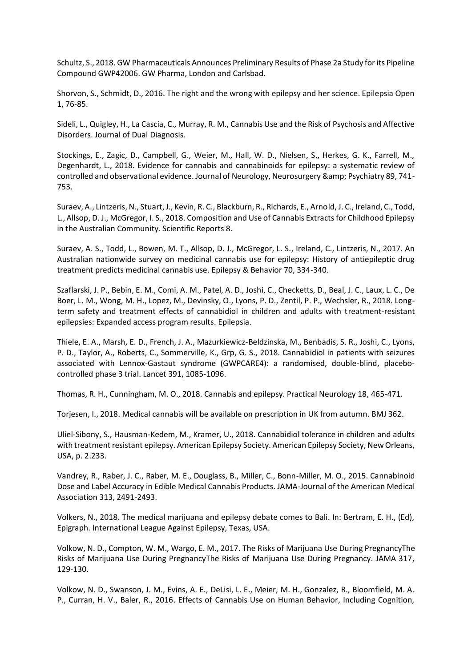Schultz, S., 2018. GW Pharmaceuticals Announces Preliminary Results of Phase 2a Study for its Pipeline Compound GWP42006. GW Pharma, London and Carlsbad.

Shorvon, S., Schmidt, D., 2016. The right and the wrong with epilepsy and her science. Epilepsia Open 1, 76-85.

Sideli, L., Quigley, H., La Cascia, C., Murray, R. M., Cannabis Use and the Risk of Psychosis and Affective Disorders. Journal of Dual Diagnosis.

Stockings, E., Zagic, D., Campbell, G., Weier, M., Hall, W. D., Nielsen, S., Herkes, G. K., Farrell, M., Degenhardt, L., 2018. Evidence for cannabis and cannabinoids for epilepsy: a systematic review of controlled and observational evidence. Journal of Neurology, Neurosurgery & amp; Psychiatry 89, 741-753.

Suraev, A., Lintzeris, N., Stuart, J., Kevin, R. C., Blackburn, R., Richards, E., Arnold, J. C., Ireland, C., Todd, L., Allsop, D. J., McGregor, I. S., 2018. Composition and Use of Cannabis Extracts for Childhood Epilepsy in the Australian Community. Scientific Reports 8.

Suraev, A. S., Todd, L., Bowen, M. T., Allsop, D. J., McGregor, L. S., Ireland, C., Lintzeris, N., 2017. An Australian nationwide survey on medicinal cannabis use for epilepsy: History of antiepileptic drug treatment predicts medicinal cannabis use. Epilepsy & Behavior 70, 334-340.

Szaflarski, J. P., Bebin, E. M., Comi, A. M., Patel, A. D., Joshi, C., Checketts, D., Beal, J. C., Laux, L. C., De Boer, L. M., Wong, M. H., Lopez, M., Devinsky, O., Lyons, P. D., Zentil, P. P., Wechsler, R., 2018. Longterm safety and treatment effects of cannabidiol in children and adults with treatment-resistant epilepsies: Expanded access program results. Epilepsia.

Thiele, E. A., Marsh, E. D., French, J. A., Mazurkiewicz-Beldzinska, M., Benbadis, S. R., Joshi, C., Lyons, P. D., Taylor, A., Roberts, C., Sommerville, K., Grp, G. S., 2018. Cannabidiol in patients with seizures associated with Lennox-Gastaut syndrome (GWPCARE4): a randomised, double-blind, placebocontrolled phase 3 trial. Lancet 391, 1085-1096.

Thomas, R. H., Cunningham, M. O., 2018. Cannabis and epilepsy. Practical Neurology 18, 465-471.

Torjesen, I., 2018. Medical cannabis will be available on prescription in UK from autumn. BMJ 362.

Uliel-Sibony, S., Hausman-Kedem, M., Kramer, U., 2018. Cannabidiol tolerance in children and adults with treatment resistant epilepsy. American Epilepsy Society. American Epilepsy Society, New Orleans, USA, p. 2.233.

Vandrey, R., Raber, J. C., Raber, M. E., Douglass, B., Miller, C., Bonn-Miller, M. O., 2015. Cannabinoid Dose and Label Accuracy in Edible Medical Cannabis Products. JAMA-Journal of the American Medical Association 313, 2491-2493.

Volkers, N., 2018. The medical marijuana and epilepsy debate comes to Bali. In: Bertram, E. H., (Ed), Epigraph. International League Against Epilepsy, Texas, USA.

Volkow, N. D., Compton, W. M., Wargo, E. M., 2017. The Risks of Marijuana Use During PregnancyThe Risks of Marijuana Use During PregnancyThe Risks of Marijuana Use During Pregnancy. JAMA 317, 129-130.

Volkow, N. D., Swanson, J. M., Evins, A. E., DeLisi, L. E., Meier, M. H., Gonzalez, R., Bloomfield, M. A. P., Curran, H. V., Baler, R., 2016. Effects of Cannabis Use on Human Behavior, Including Cognition,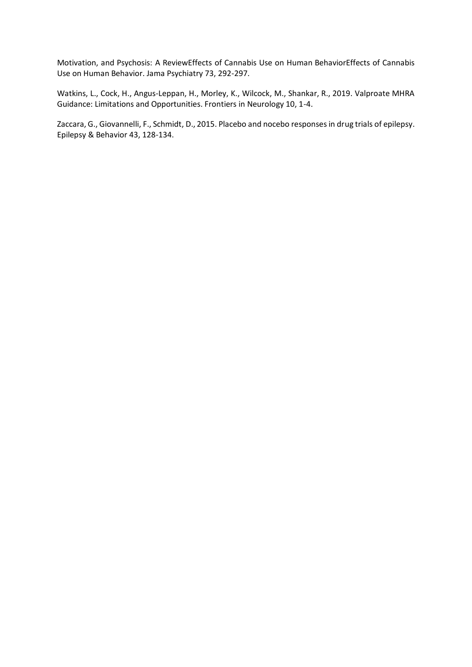Motivation, and Psychosis: A ReviewEffects of Cannabis Use on Human BehaviorEffects of Cannabis Use on Human Behavior. Jama Psychiatry 73, 292-297.

Watkins, L., Cock, H., Angus-Leppan, H., Morley, K., Wilcock, M., Shankar, R., 2019. Valproate MHRA Guidance: Limitations and Opportunities. Frontiers in Neurology 10, 1-4.

Zaccara, G., Giovannelli, F., Schmidt, D., 2015. Placebo and nocebo responses in drug trials of epilepsy. Epilepsy & Behavior 43, 128-134.